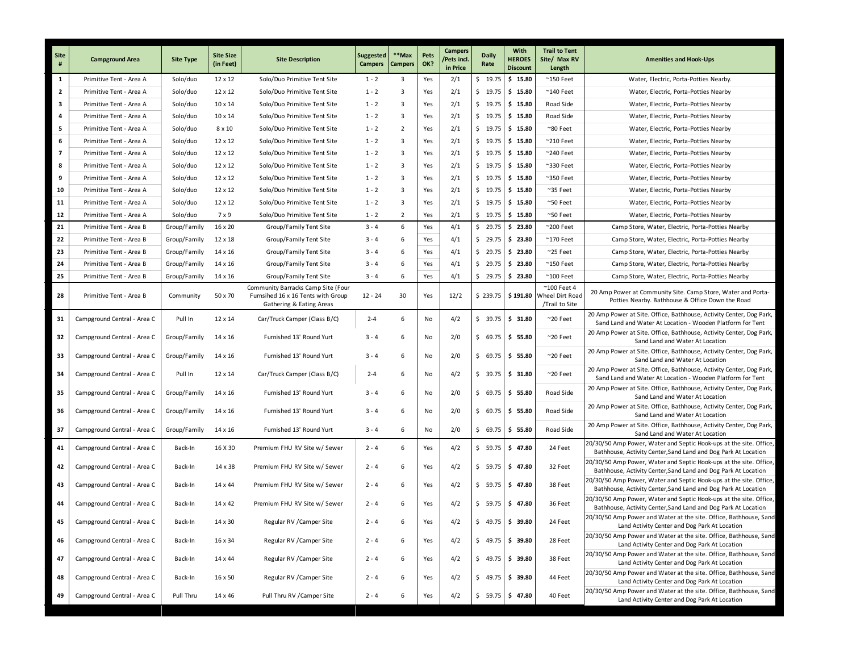| Site<br>#      | <b>Campground Area</b>      | <b>Site Type</b> | <b>Site Size</b><br>(in Feet) | <b>Site Description</b>                                                                              | <b>Suggested</b><br><b>Campers</b> | **Max<br>Campers        | Pets<br>OK? | Campers<br>Pets incl.<br>in Price | <b>Daily</b><br>Rate | With<br><b>HEROES</b><br><b>Discount</b> | <b>Trail to Tent</b><br>Site/ Max RV<br>Length            | <b>Amenities and Hook-Ups</b>                                                                                                        |
|----------------|-----------------------------|------------------|-------------------------------|------------------------------------------------------------------------------------------------------|------------------------------------|-------------------------|-------------|-----------------------------------|----------------------|------------------------------------------|-----------------------------------------------------------|--------------------------------------------------------------------------------------------------------------------------------------|
| $\mathbf{1}$   | Primitive Tent - Area A     | Solo/duo         | 12 x 12                       | Solo/Duo Primitive Tent Site                                                                         | $1 - 2$                            | $\overline{\mathbf{3}}$ | Yes         | 2/1                               | \$19.75              | \$15.80                                  | $^{\sim}$ 150 Feet                                        | Water, Electric, Porta-Potties Nearby.                                                                                               |
| $\overline{2}$ | Primitive Tent - Area A     | Solo/duo         | 12 x 12                       | Solo/Duo Primitive Tent Site                                                                         | $1 - 2$                            | $\overline{\mathbf{3}}$ | Yes         | 2/1                               | \$19.75              | \$15.80                                  | $^{\sim}$ 140 Feet                                        | Water, Electric, Porta-Potties Nearby                                                                                                |
| 3              | Primitive Tent - Area A     | Solo/duo         | 10 x 14                       | Solo/Duo Primitive Tent Site                                                                         | $1 - 2$                            | $\overline{\mathbf{3}}$ | Yes         | 2/1                               | \$19.75              | \$15.80                                  | Road Side                                                 | Water, Electric, Porta-Potties Nearby                                                                                                |
| 4              | Primitive Tent - Area A     | Solo/duo         | 10 x 14                       | Solo/Duo Primitive Tent Site                                                                         | $1 - 2$                            | $\overline{\mathbf{3}}$ | Yes         | 2/1                               | \$19.75              | \$15.80                                  | Road Side                                                 | Water, Electric, Porta-Potties Nearby                                                                                                |
| 5              | Primitive Tent - Area A     | Solo/duo         | 8 x 10                        | Solo/Duo Primitive Tent Site                                                                         | $1 - 2$                            | $\overline{2}$          | Yes         | 2/1                               | \$19.75              | \$15.80                                  | $^{\sim}80$ Feet                                          | Water, Electric, Porta-Potties Nearby                                                                                                |
| 6              | Primitive Tent - Area A     | Solo/duo         | 12 x 12                       | Solo/Duo Primitive Tent Site                                                                         | $1 - 2$                            | $\overline{\mathbf{3}}$ | Yes         | 2/1                               | \$19.75              | \$15.80                                  | $^{\sim}$ 210 Feet                                        | Water, Electric, Porta-Potties Nearby                                                                                                |
| $\overline{7}$ | Primitive Tent - Area A     | Solo/duo         | 12 x 12                       | Solo/Duo Primitive Tent Site                                                                         | $1 - 2$                            | $\overline{\mathbf{3}}$ | Yes         | 2/1                               | \$19.75              | \$15.80                                  | $^{\sim}$ 240 Feet                                        | Water, Electric, Porta-Potties Nearby                                                                                                |
| 8              | Primitive Tent - Area A     | Solo/duo         | 12 x 12                       | Solo/Duo Primitive Tent Site                                                                         | $1 - 2$                            | $\overline{\mathbf{3}}$ | Yes         | 2/1                               | \$19.75              | \$15.80                                  | $~^{\sim}$ 330 Feet                                       | Water, Electric, Porta-Potties Nearby                                                                                                |
| 9              | Primitive Tent - Area A     | Solo/duo         | 12 x 12                       | Solo/Duo Primitive Tent Site                                                                         | $1 - 2$                            | $\overline{\mathbf{3}}$ | Yes         | 2/1                               | \$19.75              | \$15.80                                  | $^{\sim}$ 350 Feet                                        | Water, Electric, Porta-Potties Nearby                                                                                                |
| 10             | Primitive Tent - Area A     | Solo/duo         | 12 x 12                       | Solo/Duo Primitive Tent Site                                                                         | $1 - 2$                            | $\overline{\mathbf{3}}$ | Yes         | 2/1                               | \$19.75              | \$15.80                                  | $~^{\sim}$ 35 Feet                                        | Water, Electric, Porta-Potties Nearby                                                                                                |
| 11             | Primitive Tent - Area A     | Solo/duo         | 12 x 12                       | Solo/Duo Primitive Tent Site                                                                         | $1 - 2$                            | $\overline{\mathbf{3}}$ | Yes         | 2/1                               | \$19.75              | \$15.80                                  | $^{\sim}$ 50 Feet                                         | Water, Electric, Porta-Potties Nearby                                                                                                |
| 12             | Primitive Tent - Area A     | Solo/duo         | 7 x 9                         | Solo/Duo Primitive Tent Site                                                                         | $1 - 2$                            | $\overline{2}$          | Yes         | 2/1                               | \$19.75              | \$15.80                                  | $~\sim$ 50 Feet                                           | Water, Electric, Porta-Potties Nearby                                                                                                |
| 21             | Primitive Tent - Area B     | Group/Family     | 16 x 20                       | Group/Family Tent Site                                                                               | $3 - 4$                            | 6                       | Yes         | 4/1                               |                      | $$29.75$ $$23.80$                        | $^{\sim}$ 200 Feet                                        | Camp Store, Water, Electric, Porta-Potties Nearby                                                                                    |
| 22             | Primitive Tent - Area B     | Group/Family     | 12 x 18                       | Group/Family Tent Site                                                                               | $3 - 4$                            | 6                       | Yes         | 4/1                               | \$29.75              | \$23.80                                  | $^{\sim}$ 170 Feet                                        | Camp Store, Water, Electric, Porta-Potties Nearby                                                                                    |
| 23             | Primitive Tent - Area B     | Group/Family     | 14 x 16                       | Group/Family Tent Site                                                                               | $3 - 4$                            | 6                       | Yes         | 4/1                               | \$29.75              | \$23.80                                  | $~^{\sim}$ 25 Feet                                        | Camp Store, Water, Electric, Porta-Potties Nearby                                                                                    |
| 24             | Primitive Tent - Area B     | Group/Family     | 14 x 16                       | Group/Family Tent Site                                                                               | $3 - 4$                            | 6                       | Yes         | 4/1                               | \$29.75              | \$23.80                                  | $^{\sim}$ 150 Feet                                        | Camp Store, Water, Electric, Porta-Potties Nearby                                                                                    |
| 25             | Primitive Tent - Area B     | Group/Family     | 14 x 16                       | Group/Family Tent Site                                                                               | $3 - 4$                            | 6                       | Yes         | 4/1                               | \$29.75              | \$23.80                                  | $^{\sim}$ 100 Feet                                        | Camp Store, Water, Electric, Porta-Potties Nearby                                                                                    |
| 28             | Primitive Tent - Area B     | Community        | 50 x 70                       | Community Barracks Camp Site (Four<br>Furnsihed 16 x 16 Tents with Group<br>Gathering & Eating Areas | $12 - 24$                          | 30                      | Yes         | 12/2                              |                      | $$239.75$ $$191.80$                      | $^{\sim}$ 100 Feet 4<br>Wheel Dirt Road<br>/Trail to Site | 20 Amp Power at Community Site. Camp Store, Water and Porta-<br>Potties Nearby. Bathhouse & Office Down the Road                     |
| 31             | Campground Central - Area C | Pull In          | 12 x 14                       | Car/Truck Camper (Class B/C)                                                                         | $2 - 4$                            | 6                       | No          | 4/2                               | \$39.75              | \$31.80                                  | $^{\sim}$ 20 Feet                                         | 20 Amp Power at Site. Office, Bathhouse, Activity Center, Dog Park,<br>Sand Land and Water At Location - Wooden Platform for Tent    |
| 32             | Campground Central - Area C | Group/Family     | 14 x 16                       | Furnished 13' Round Yurt                                                                             | $3 - 4$                            | 6                       | No          | 2/0                               | \$69.75              | \$55.80                                  | $^{\sim}$ 20 Feet                                         | 20 Amp Power at Site. Office, Bathhouse, Activity Center, Dog Park,<br>Sand Land and Water At Location                               |
| 33             | Campground Central - Area C | Group/Family     | 14 x 16                       | Furnished 13' Round Yurt                                                                             | $3 - 4$                            | 6                       | No          | 2/0                               | \$69.75              | \$55.80                                  | $^{\sim}$ 20 Feet                                         | 20 Amp Power at Site. Office, Bathhouse, Activity Center, Dog Park,<br>Sand Land and Water At Location                               |
| 34             | Campground Central - Area C | Pull In          | 12 x 14                       | Car/Truck Camper (Class B/C)                                                                         | $2 - 4$                            | 6                       | No          | 4/2                               | \$39.75              | \$31.80                                  | $^{\sim}$ 20 Feet                                         | 20 Amp Power at Site. Office, Bathhouse, Activity Center, Dog Park,<br>Sand Land and Water At Location - Wooden Platform for Tent    |
| 35             | Campground Central - Area C | Group/Family     | 14 x 16                       | Furnished 13' Round Yurt                                                                             | $3 - 4$                            | 6                       | No          | 2/0                               | \$69.75              | \$55.80                                  | Road Side                                                 | 20 Amp Power at Site. Office, Bathhouse, Activity Center, Dog Park,<br>Sand Land and Water At Location                               |
| 36             | Campground Central - Area C | Group/Family     | 14 x 16                       | Furnished 13' Round Yurt                                                                             | $3 - 4$                            | 6                       | No          | 2/0                               |                      | $$69.75$ $$55.80$                        | Road Side                                                 | 20 Amp Power at Site. Office, Bathhouse, Activity Center, Dog Park,<br>Sand Land and Water At Location                               |
| 37             | Campground Central - Area C | Group/Family     | 14 x 16                       | Furnished 13' Round Yurt                                                                             | $3 - 4$                            | 6                       | No          | 2/0                               | \$69.75              | \$55.80                                  | Road Side                                                 | 20 Amp Power at Site. Office, Bathhouse, Activity Center, Dog Park,<br>Sand Land and Water At Location                               |
| 41             | Campground Central - Area C | Back-In          | 16 X 30                       | Premium FHU RV Site w/ Sewer                                                                         | $2 - 4$                            | 6                       | Yes         | 4/2                               | \$59.75              | \$47.80                                  | 24 Feet                                                   | 20/30/50 Amp Power, Water and Septic Hook-ups at the site. Office,<br>Bathhouse, Activity Center, Sand Land and Dog Park At Location |
| 42             | Campground Central - Area C | Back-In          | 14 x 38                       | Premium FHU RV Site w/ Sewer                                                                         | $2 - 4$                            | 6                       | Yes         | 4/2                               | $5$ 59.75            | \$47.80                                  | 32 Feet                                                   | 20/30/50 Amp Power, Water and Septic Hook-ups at the site. Office,<br>Bathhouse, Activity Center, Sand Land and Dog Park At Location |
| 43             | Campground Central - Area C | Back-In          | 14 x 44                       | Premium FHU RV Site w/ Sewer                                                                         | $2 - 4$                            | 6                       | Yes         | 4/2                               | \$59.75              | \$47.80                                  | 38 Feet                                                   | 20/30/50 Amp Power, Water and Septic Hook-ups at the site. Office,<br>Bathhouse, Activity Center, Sand Land and Dog Park At Location |
| 44             | Campground Central - Area C | Back-In          | 14 x 42                       | Premium FHU RV Site w/ Sewer                                                                         | $2 - 4$                            | 6                       | Yes         | 4/2                               | \$59.75              | \$47.80                                  | 36 Feet                                                   | 20/30/50 Amp Power, Water and Septic Hook-ups at the site. Office,<br>Bathhouse, Activity Center, Sand Land and Dog Park At Location |
|                | Campground Central - Area C | Back-In          | 14 x 30                       | Regular RV / Camper Site                                                                             | $2 - 4$                            | 6                       | Yes         | 4/2                               |                      | $$49.75$ $$39.80$                        | 24 Feet                                                   | 20/30/50 Amp Power and Water at the site. Office, Bathhouse, Sand<br>Land Activity Center and Dog Park At Location                   |
| 46             | Campground Central - Area C | Back-In          | 16 x 34                       | Regular RV / Camper Site                                                                             | $2 - 4$                            | 6                       | Yes         | 4/2                               |                      | $$49.75$ $$39.80$                        | 28 Feet                                                   | 20/30/50 Amp Power and Water at the site. Office, Bathhouse, Sand<br>Land Activity Center and Dog Park At Location                   |
| 47             | Campground Central - Area C | Back-In          | 14 x 44                       | Regular RV / Camper Site                                                                             | $2 - 4$                            | 6                       | Yes         | 4/2                               |                      | $$49.75$ $$39.80$                        | 38 Feet                                                   | 20/30/50 Amp Power and Water at the site. Office, Bathhouse, Sand<br>Land Activity Center and Dog Park At Location                   |
| 48             | Campground Central - Area C | Back-In          | 16 x 50                       | Regular RV / Camper Site                                                                             | $2 - 4$                            | 6                       | Yes         | 4/2                               |                      | $$49.75$ $$39.80$                        | 44 Feet                                                   | 20/30/50 Amp Power and Water at the site. Office, Bathhouse, Sand<br>Land Activity Center and Dog Park At Location                   |
| 49             | Campground Central - Area C | Pull Thru        | 14 x 46                       | Pull Thru RV / Camper Site                                                                           | $2 - 4$                            | 6                       | Yes         | 4/2                               |                      | $$59.75$ $$47.80$                        | 40 Feet                                                   | 20/30/50 Amp Power and Water at the site. Office, Bathhouse, Sand<br>Land Activity Center and Dog Park At Location                   |